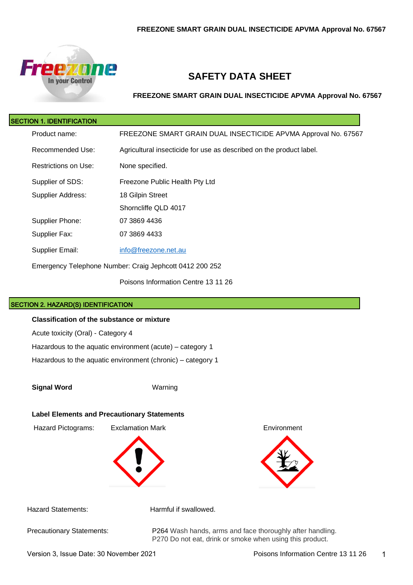

# **SAFETY DATA SHEET**

**FREEZONE SMART GRAIN DUAL INSECTICIDE APVMA Approval No. 67567**

| <b>SECTION 1. IDENTIFICATION</b> |                                                                     |
|----------------------------------|---------------------------------------------------------------------|
| Product name:                    | FREEZONE SMART GRAIN DUAL INSECTICIDE APVMA Approval No. 67567      |
| Recommended Use:                 | Agricultural insecticide for use as described on the product label. |
| Restrictions on Use:             | None specified.                                                     |
| Supplier of SDS:                 | Freezone Public Health Pty Ltd                                      |
| Supplier Address:                | 18 Gilpin Street                                                    |
|                                  | Shorncliffe QLD 4017                                                |
| Supplier Phone:                  | 07 3869 4436                                                        |
| Supplier Fax:                    | 07 3869 4433                                                        |
| Supplier Email:                  | info@freezone.net.au                                                |
|                                  | Emergency Telephone Number: Craig Jephcott 0412 200 252             |

Poisons Information Centre 13 11 26

### SECTION 2. HAZARD(S) IDENTIFICATION

#### **Classification of the substance or mixture**

Acute toxicity (Oral) - Category 4

Hazardous to the aquatic environment (acute) – category 1

Hazardous to the aquatic environment (chronic) – category 1

**Signal Word** Warning

#### **Label Elements and Precautionary Statements**

Hazard Pictograms: Exclamation Mark Environment





Hazard Statements: Harmful if swallowed.

Precautionary Statements: P264 Wash hands, arms and face thoroughly after handling. P270 Do not eat, drink or smoke when using this product.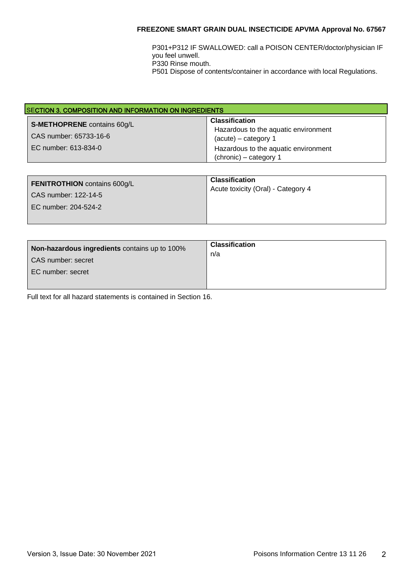P301+P312 IF SWALLOWED: call a POISON CENTER/doctor/physician IF you feel unwell. P330 Rinse mouth.

P501 Dispose of contents/container in accordance with local Regulations.

| <b>SECTION 3. COMPOSITION AND INFORMATION ON INGREDIENTS</b>                         |                                                                                                                                                           |
|--------------------------------------------------------------------------------------|-----------------------------------------------------------------------------------------------------------------------------------------------------------|
| <b>S-METHOPRENE</b> contains 60g/L<br>CAS number: 65733-16-6<br>EC number: 613-834-0 | <b>Classification</b><br>Hazardous to the aquatic environment<br>$(acute) - category 1$<br>Hazardous to the aquatic environment<br>(chronic) – category 1 |

| <b>FENITROTHION</b> contains 600g/L<br>CAS number: 122-14-5<br>EC number: 204-524-2 | <b>Classification</b><br>Acute toxicity (Oral) - Category 4 |
|-------------------------------------------------------------------------------------|-------------------------------------------------------------|
|-------------------------------------------------------------------------------------|-------------------------------------------------------------|

| Non-hazardous ingredients contains up to 100%<br>CAS number: secret<br>EC number: secret | <b>Classification</b><br>n/a |
|------------------------------------------------------------------------------------------|------------------------------|
|------------------------------------------------------------------------------------------|------------------------------|

Full text for all hazard statements is contained in Section 16.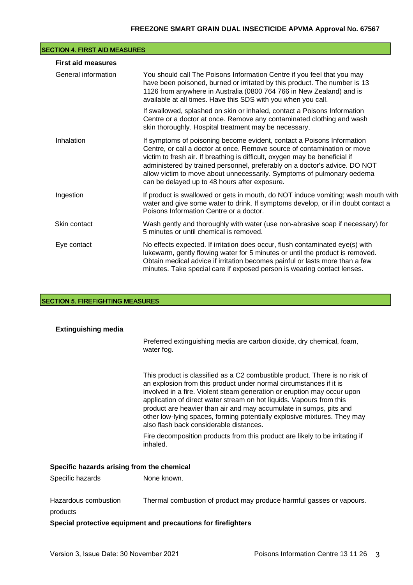| <b>SECTION 4. FIRST AID MEASURES</b> |                                                                                                                                                                                                                                                                                                                                                                                                                                            |  |
|--------------------------------------|--------------------------------------------------------------------------------------------------------------------------------------------------------------------------------------------------------------------------------------------------------------------------------------------------------------------------------------------------------------------------------------------------------------------------------------------|--|
| <b>First aid measures</b>            |                                                                                                                                                                                                                                                                                                                                                                                                                                            |  |
| General information                  | You should call The Poisons Information Centre if you feel that you may<br>have been poisoned, burned or irritated by this product. The number is 13<br>1126 from anywhere in Australia (0800 764 766 in New Zealand) and is<br>available at all times. Have this SDS with you when you call.                                                                                                                                              |  |
|                                      | If swallowed, splashed on skin or inhaled, contact a Poisons Information<br>Centre or a doctor at once. Remove any contaminated clothing and wash<br>skin thoroughly. Hospital treatment may be necessary.                                                                                                                                                                                                                                 |  |
| Inhalation                           | If symptoms of poisoning become evident, contact a Poisons Information<br>Centre, or call a doctor at once. Remove source of contamination or move<br>victim to fresh air. If breathing is difficult, oxygen may be beneficial if<br>administered by trained personnel, preferably on a doctor's advice. DO NOT<br>allow victim to move about unnecessarily. Symptoms of pulmonary oedema<br>can be delayed up to 48 hours after exposure. |  |
| Ingestion                            | If product is swallowed or gets in mouth, do NOT induce vomiting; wash mouth with<br>water and give some water to drink. If symptoms develop, or if in doubt contact a<br>Poisons Information Centre or a doctor.                                                                                                                                                                                                                          |  |
| Skin contact                         | Wash gently and thoroughly with water (use non-abrasive soap if necessary) for<br>5 minutes or until chemical is removed.                                                                                                                                                                                                                                                                                                                  |  |
| Eye contact                          | No effects expected. If irritation does occur, flush contaminated eye(s) with<br>lukewarm, gently flowing water for 5 minutes or until the product is removed.<br>Obtain medical advice if irritation becomes painful or lasts more than a few<br>minutes. Take special care if exposed person is wearing contact lenses.                                                                                                                  |  |

# **SECTION 5. FIREFIGHTING MEASURES**

| <b>Extinguishing media</b>                 |                                                                                                                                                                                                                                                                                                                                                                                                                                                                                                   |  |
|--------------------------------------------|---------------------------------------------------------------------------------------------------------------------------------------------------------------------------------------------------------------------------------------------------------------------------------------------------------------------------------------------------------------------------------------------------------------------------------------------------------------------------------------------------|--|
|                                            | Preferred extinguishing media are carbon dioxide, dry chemical, foam,<br>water fog.                                                                                                                                                                                                                                                                                                                                                                                                               |  |
|                                            | This product is classified as a C2 combustible product. There is no risk of<br>an explosion from this product under normal circumstances if it is<br>involved in a fire. Violent steam generation or eruption may occur upon<br>application of direct water stream on hot liquids. Vapours from this<br>product are heavier than air and may accumulate in sumps, pits and<br>other low-lying spaces, forming potentially explosive mixtures. They may<br>also flash back considerable distances. |  |
|                                            | Fire decomposition products from this product are likely to be irritating if<br>inhaled.                                                                                                                                                                                                                                                                                                                                                                                                          |  |
| Specific hazards arising from the chemical |                                                                                                                                                                                                                                                                                                                                                                                                                                                                                                   |  |
| Specific hazards                           | None known.                                                                                                                                                                                                                                                                                                                                                                                                                                                                                       |  |
| Hazardous combustion<br>products           | Thermal combustion of product may produce harmful gasses or vapours.                                                                                                                                                                                                                                                                                                                                                                                                                              |  |
|                                            | Special protective equipment and precautions for firefighters                                                                                                                                                                                                                                                                                                                                                                                                                                     |  |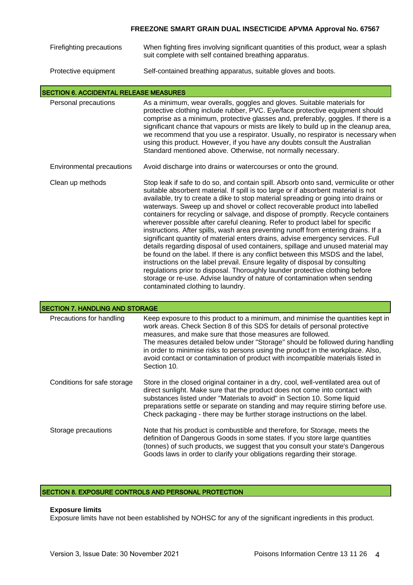| Firefighting precautions | When fighting fires involving significant quantities of this product, wear a splash |
|--------------------------|-------------------------------------------------------------------------------------|
|                          | suit complete with self contained breathing apparatus.                              |

Protective equipment Self-contained breathing apparatus, suitable gloves and boots.

#### SECTION 6. ACCIDENTAL RELEASE MEASURES

| Personal precautions | As a minimum, wear overalls, goggles and gloves. Suitable materials for<br>protective clothing include rubber, PVC. Eye/face protective equipment should<br>comprise as a minimum, protective glasses and, preferably, goggles. If there is a<br>significant chance that vapours or mists are likely to build up in the cleanup area,<br>we recommend that you use a respirator. Usually, no respirator is necessary when<br>using this product. However, if you have any doubts consult the Australian<br>Standard mentioned above. Otherwise, not normally necessary. |
|----------------------|-------------------------------------------------------------------------------------------------------------------------------------------------------------------------------------------------------------------------------------------------------------------------------------------------------------------------------------------------------------------------------------------------------------------------------------------------------------------------------------------------------------------------------------------------------------------------|
|                      |                                                                                                                                                                                                                                                                                                                                                                                                                                                                                                                                                                         |

#### Environmental precautions Avoid discharge into drains or watercourses or onto the ground.

Clean up methods Stop leak if safe to do so, and contain spill. Absorb onto sand, vermiculite or other suitable absorbent material. If spill is too large or if absorbent material is not available, try to create a dike to stop material spreading or going into drains or waterways. Sweep up and shovel or collect recoverable product into labelled containers for recycling or salvage, and dispose of promptly. Recycle containers wherever possible after careful cleaning. Refer to product label for specific instructions. After spills, wash area preventing runoff from entering drains. If a significant quantity of material enters drains, advise emergency services. Full details regarding disposal of used containers, spillage and unused material may be found on the label. If there is any conflict between this MSDS and the label, instructions on the label prevail. Ensure legality of disposal by consulting regulations prior to disposal. Thoroughly launder protective clothing before storage or re-use. Advise laundry of nature of contamination when sending contaminated clothing to laundry.

| <b>SECTION 7. HANDLING AND STORAGE</b> |                                                                                                                                                                                                                                                                                                                                                                                                                                                                                                   |  |
|----------------------------------------|---------------------------------------------------------------------------------------------------------------------------------------------------------------------------------------------------------------------------------------------------------------------------------------------------------------------------------------------------------------------------------------------------------------------------------------------------------------------------------------------------|--|
| Precautions for handling               | Keep exposure to this product to a minimum, and minimise the quantities kept in<br>work areas. Check Section 8 of this SDS for details of personal protective<br>measures, and make sure that those measures are followed.<br>The measures detailed below under "Storage" should be followed during handling<br>in order to minimise risks to persons using the product in the workplace. Also,<br>avoid contact or contamination of product with incompatible materials listed in<br>Section 10. |  |
| Conditions for safe storage            | Store in the closed original container in a dry, cool, well-ventilated area out of<br>direct sunlight. Make sure that the product does not come into contact with<br>substances listed under "Materials to avoid" in Section 10. Some liquid<br>preparations settle or separate on standing and may require stirring before use.<br>Check packaging - there may be further storage instructions on the label.                                                                                     |  |
| Storage precautions                    | Note that his product is combustible and therefore, for Storage, meets the<br>definition of Dangerous Goods in some states. If you store large quantities<br>(tonnes) of such products, we suggest that you consult your state's Dangerous<br>Goods laws in order to clarify your obligations regarding their storage.                                                                                                                                                                            |  |

## SECTION 8. EXPOSURE CONTROLS AND PERSONAL PROTECTION

#### **Exposure limits**

Exposure limits have not been established by NOHSC for any of the significant ingredients in this product.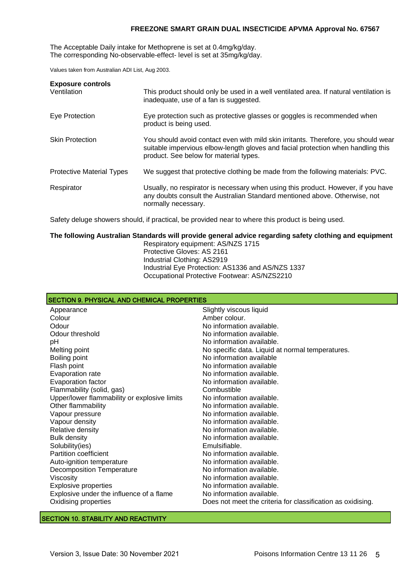The Acceptable Daily intake for Methoprene is set at 0.4mg/kg/day. The corresponding No-observable-effect- level is set at 35mg/kg/day.

Values taken from Australian ADI List, Aug 2003.

| <b>Exposure controls</b><br>Ventilation | This product should only be used in a well ventilated area. If natural ventilation is<br>inadequate, use of a fan is suggested.                                                                                  |
|-----------------------------------------|------------------------------------------------------------------------------------------------------------------------------------------------------------------------------------------------------------------|
| Eye Protection                          | Eye protection such as protective glasses or goggles is recommended when<br>product is being used.                                                                                                               |
| <b>Skin Protection</b>                  | You should avoid contact even with mild skin irritants. Therefore, you should wear<br>suitable impervious elbow-length gloves and facial protection when handling this<br>product. See below for material types. |
| <b>Protective Material Types</b>        | We suggest that protective clothing be made from the following materials: PVC.                                                                                                                                   |
| Respirator                              | Usually, no respirator is necessary when using this product. However, if you have<br>any doubts consult the Australian Standard mentioned above. Otherwise, not<br>normally necessary.                           |

Safety deluge showers should, if practical, be provided near to where this product is being used.

#### **The following Australian Standards will provide general advice regarding safety clothing and equipment** Respiratory equipment: AS/NZS 1715 Protective Gloves: AS 2161

Industrial Clothing: AS2919 Industrial Eye Protection: AS1336 and AS/NZS 1337 Occupational Protective Footwear: AS/NZS2210

| <b>SECTION 9. PHYSICAL AND CHEMICAL PROPERTIES</b>          |  |  |
|-------------------------------------------------------------|--|--|
| Slightly viscous liquid                                     |  |  |
| Amber colour.                                               |  |  |
| No information available.                                   |  |  |
| No information available.                                   |  |  |
| No information available.                                   |  |  |
| No specific data. Liquid at normal temperatures.            |  |  |
| No information available                                    |  |  |
| No information available                                    |  |  |
| No information available.                                   |  |  |
| No information available.                                   |  |  |
| Combustible                                                 |  |  |
| No information available.                                   |  |  |
| No information available.                                   |  |  |
| No information available.                                   |  |  |
| No information available.                                   |  |  |
| No information available.                                   |  |  |
| No information available.                                   |  |  |
| Emulsifiable.                                               |  |  |
| No information available.                                   |  |  |
| No information available.                                   |  |  |
| No information available.                                   |  |  |
| No information available.                                   |  |  |
| No information available.                                   |  |  |
| No information available.                                   |  |  |
| Does not meet the criteria for classification as oxidising. |  |  |
|                                                             |  |  |

#### SECTION 10. STABILITY AND REACTIVITY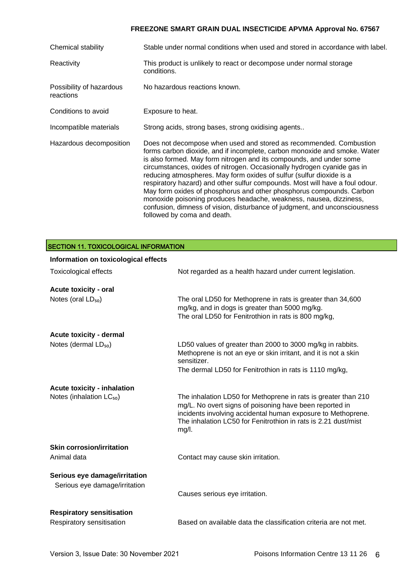| Chemical stability                    | Stable under normal conditions when used and stored in accordance with label.                                                                                                                                                                                                                                                                                                                                                                                                                                                                                                                                                                                                                                        |
|---------------------------------------|----------------------------------------------------------------------------------------------------------------------------------------------------------------------------------------------------------------------------------------------------------------------------------------------------------------------------------------------------------------------------------------------------------------------------------------------------------------------------------------------------------------------------------------------------------------------------------------------------------------------------------------------------------------------------------------------------------------------|
| Reactivity                            | This product is unlikely to react or decompose under normal storage<br>conditions.                                                                                                                                                                                                                                                                                                                                                                                                                                                                                                                                                                                                                                   |
| Possibility of hazardous<br>reactions | No hazardous reactions known.                                                                                                                                                                                                                                                                                                                                                                                                                                                                                                                                                                                                                                                                                        |
| Conditions to avoid                   | Exposure to heat.                                                                                                                                                                                                                                                                                                                                                                                                                                                                                                                                                                                                                                                                                                    |
| Incompatible materials                | Strong acids, strong bases, strong oxidising agents                                                                                                                                                                                                                                                                                                                                                                                                                                                                                                                                                                                                                                                                  |
| Hazardous decomposition               | Does not decompose when used and stored as recommended. Combustion<br>forms carbon dioxide, and if incomplete, carbon monoxide and smoke. Water<br>is also formed. May form nitrogen and its compounds, and under some<br>circumstances, oxides of nitrogen. Occasionally hydrogen cyanide gas in<br>reducing atmospheres. May form oxides of sulfur (sulfur dioxide is a<br>respiratory hazard) and other sulfur compounds. Most will have a foul odour.<br>May form oxides of phosphorus and other phosphorus compounds. Carbon<br>monoxide poisoning produces headache, weakness, nausea, dizziness,<br>confusion, dimness of vision, disturbance of judgment, and unconsciousness<br>followed by coma and death. |

| <b>SECTION 11. TOXICOLOGICAL INFORMATION</b>                   |                                                                                                                                                                                                                                                                      |  |
|----------------------------------------------------------------|----------------------------------------------------------------------------------------------------------------------------------------------------------------------------------------------------------------------------------------------------------------------|--|
| Information on toxicological effects                           |                                                                                                                                                                                                                                                                      |  |
| <b>Toxicological effects</b>                                   | Not regarded as a health hazard under current legislation.                                                                                                                                                                                                           |  |
| Acute toxicity - oral                                          |                                                                                                                                                                                                                                                                      |  |
| Notes (oral LD <sub>50</sub> )                                 | The oral LD50 for Methoprene in rats is greater than 34,600<br>mg/kg, and in dogs is greater than 5000 mg/kg.<br>The oral LD50 for Fenitrothion in rats is 800 mg/kg,                                                                                                |  |
| Acute toxicity - dermal                                        |                                                                                                                                                                                                                                                                      |  |
| Notes (dermal LD <sub>50</sub> )                               | LD50 values of greater than 2000 to 3000 mg/kg in rabbits.<br>Methoprene is not an eye or skin irritant, and it is not a skin<br>sensitizer.<br>The dermal LD50 for Fenitrothion in rats is 1110 mg/kg,                                                              |  |
| <b>Acute toxicity - inhalation</b>                             |                                                                                                                                                                                                                                                                      |  |
| Notes (inhalation LC <sub>50</sub> )                           | The inhalation LD50 for Methoprene in rats is greater than 210<br>mg/L. No overt signs of poisoning have been reported in<br>incidents involving accidental human exposure to Methoprene.<br>The inhalation LC50 for Fenitrothion in rats is 2.21 dust/mist<br>mg/l. |  |
| <b>Skin corrosion/irritation</b>                               |                                                                                                                                                                                                                                                                      |  |
| Animal data                                                    | Contact may cause skin irritation.                                                                                                                                                                                                                                   |  |
| Serious eye damage/irritation<br>Serious eye damage/irritation | Causes serious eye irritation.                                                                                                                                                                                                                                       |  |
|                                                                |                                                                                                                                                                                                                                                                      |  |
| <b>Respiratory sensitisation</b><br>Respiratory sensitisation  | Based on available data the classification criteria are not met.                                                                                                                                                                                                     |  |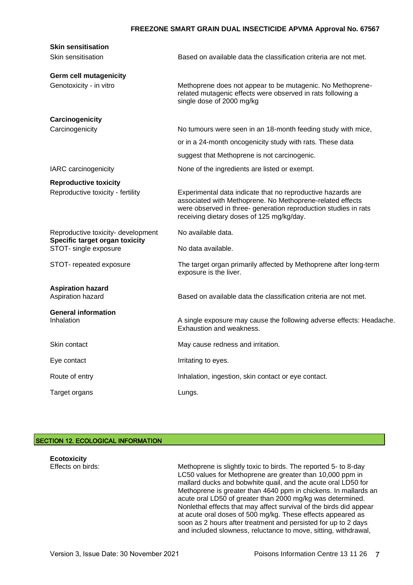| <b>Skin sensitisation</b>                               |                                                                                                                                                                                                                                          |
|---------------------------------------------------------|------------------------------------------------------------------------------------------------------------------------------------------------------------------------------------------------------------------------------------------|
| Skin sensitisation                                      | Based on available data the classification criteria are not met.                                                                                                                                                                         |
| Germ cell mutagenicity                                  |                                                                                                                                                                                                                                          |
| Genotoxicity - in vitro                                 | Methoprene does not appear to be mutagenic. No Methoprene-<br>related mutagenic effects were observed in rats following a<br>single dose of 2000 mg/kg                                                                                   |
| Carcinogenicity                                         |                                                                                                                                                                                                                                          |
| Carcinogenicity                                         | No tumours were seen in an 18-month feeding study with mice,                                                                                                                                                                             |
|                                                         | or in a 24-month oncogenicity study with rats. These data                                                                                                                                                                                |
|                                                         | suggest that Methoprene is not carcinogenic.                                                                                                                                                                                             |
| IARC carcinogenicity                                    | None of the ingredients are listed or exempt.                                                                                                                                                                                            |
| <b>Reproductive toxicity</b>                            |                                                                                                                                                                                                                                          |
| Reproductive toxicity - fertility                       | Experimental data indicate that no reproductive hazards are<br>associated with Methoprene. No Methoprene-related effects<br>were observed in three- generation reproduction studies in rats<br>receiving dietary doses of 125 mg/kg/day. |
| Reproductive toxicity- development                      | No available data.                                                                                                                                                                                                                       |
| Specific target organ toxicity<br>STOT- single exposure | No data available.                                                                                                                                                                                                                       |
| STOT- repeated exposure                                 | The target organ primarily affected by Methoprene after long-term<br>exposure is the liver.                                                                                                                                              |
| <b>Aspiration hazard</b><br>Aspiration hazard           | Based on available data the classification criteria are not met.                                                                                                                                                                         |
| <b>General information</b><br>Inhalation                | A single exposure may cause the following adverse effects: Headache.<br>Exhaustion and weakness.                                                                                                                                         |
| Skin contact                                            | May cause redness and irritation.                                                                                                                                                                                                        |
| Eye contact                                             | Irritating to eyes.                                                                                                                                                                                                                      |
| Route of entry                                          | Inhalation, ingestion, skin contact or eye contact.                                                                                                                                                                                      |
|                                                         |                                                                                                                                                                                                                                          |

# SECTION 12. ECOLOGICAL INFORMATION

| <b>Ecotoxicity</b><br>Effects on birds: | Methoprene is slightly toxic to birds. The reported 5- to 8-day<br>LC50 values for Methoprene are greater than 10,000 ppm in<br>mallard ducks and bobwhite quail, and the acute oral LD50 for<br>Methoprene is greater than 4640 ppm in chickens. In mallards an<br>acute oral LD50 of greater than 2000 mg/kg was determined.<br>Nonlethal effects that may affect survival of the birds did appear<br>at acute oral doses of 500 mg/kg. These effects appeared as<br>soon as 2 hours after treatment and persisted for up to 2 days |
|-----------------------------------------|---------------------------------------------------------------------------------------------------------------------------------------------------------------------------------------------------------------------------------------------------------------------------------------------------------------------------------------------------------------------------------------------------------------------------------------------------------------------------------------------------------------------------------------|
|                                         | and included slowness, reluctance to move, sitting, withdrawal,                                                                                                                                                                                                                                                                                                                                                                                                                                                                       |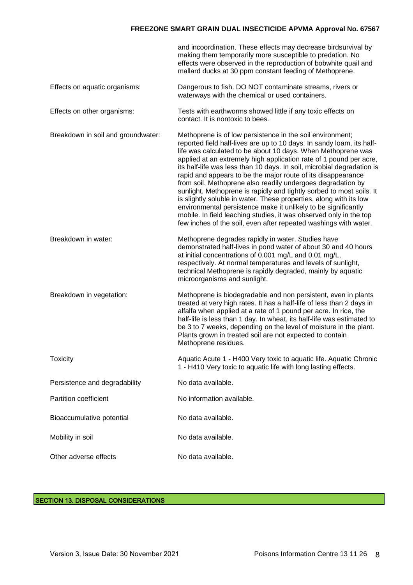|                                    | and incoordination. These effects may decrease birdsurvival by<br>making them temporarily more susceptible to predation. No<br>effects were observed in the reproduction of bobwhite quail and<br>mallard ducks at 30 ppm constant feeding of Methoprene.                                                                                                                                                                                                                                                                                                                                                                                                                                                                                                                                                                                   |
|------------------------------------|---------------------------------------------------------------------------------------------------------------------------------------------------------------------------------------------------------------------------------------------------------------------------------------------------------------------------------------------------------------------------------------------------------------------------------------------------------------------------------------------------------------------------------------------------------------------------------------------------------------------------------------------------------------------------------------------------------------------------------------------------------------------------------------------------------------------------------------------|
| Effects on aquatic organisms:      | Dangerous to fish. DO NOT contaminate streams, rivers or<br>waterways with the chemical or used containers.                                                                                                                                                                                                                                                                                                                                                                                                                                                                                                                                                                                                                                                                                                                                 |
| Effects on other organisms:        | Tests with earthworms showed little if any toxic effects on<br>contact. It is nontoxic to bees.                                                                                                                                                                                                                                                                                                                                                                                                                                                                                                                                                                                                                                                                                                                                             |
| Breakdown in soil and groundwater: | Methoprene is of low persistence in the soil environment;<br>reported field half-lives are up to 10 days. In sandy loam, its half-<br>life was calculated to be about 10 days. When Methoprene was<br>applied at an extremely high application rate of 1 pound per acre,<br>its half-life was less than 10 days. In soil, microbial degradation is<br>rapid and appears to be the major route of its disappearance<br>from soil. Methoprene also readily undergoes degradation by<br>sunlight. Methoprene is rapidly and tightly sorbed to most soils. It<br>is slightly soluble in water. These properties, along with its low<br>environmental persistence make it unlikely to be significantly<br>mobile. In field leaching studies, it was observed only in the top<br>few inches of the soil, even after repeated washings with water. |
| Breakdown in water:                | Methoprene degrades rapidly in water. Studies have<br>demonstrated half-lives in pond water of about 30 and 40 hours<br>at initial concentrations of 0.001 mg/L and 0.01 mg/L,<br>respectively. At normal temperatures and levels of sunlight,<br>technical Methoprene is rapidly degraded, mainly by aquatic<br>microorganisms and sunlight.                                                                                                                                                                                                                                                                                                                                                                                                                                                                                               |
| Breakdown in vegetation:           | Methoprene is biodegradable and non persistent, even in plants<br>treated at very high rates. It has a half-life of less than 2 days in<br>alfalfa when applied at a rate of 1 pound per acre. In rice, the<br>half-life is less than 1 day. In wheat, its half-life was estimated to<br>be 3 to 7 weeks, depending on the level of moisture in the plant.<br>Plants grown in treated soil are not expected to contain<br>Methoprene residues.                                                                                                                                                                                                                                                                                                                                                                                              |
| <b>Toxicity</b>                    | Aquatic Acute 1 - H400 Very toxic to aquatic life. Aquatic Chronic<br>1 - H410 Very toxic to aquatic life with long lasting effects.                                                                                                                                                                                                                                                                                                                                                                                                                                                                                                                                                                                                                                                                                                        |
| Persistence and degradability      | No data available.                                                                                                                                                                                                                                                                                                                                                                                                                                                                                                                                                                                                                                                                                                                                                                                                                          |
| <b>Partition coefficient</b>       | No information available.                                                                                                                                                                                                                                                                                                                                                                                                                                                                                                                                                                                                                                                                                                                                                                                                                   |
| Bioaccumulative potential          | No data available.                                                                                                                                                                                                                                                                                                                                                                                                                                                                                                                                                                                                                                                                                                                                                                                                                          |
| Mobility in soil                   | No data available.                                                                                                                                                                                                                                                                                                                                                                                                                                                                                                                                                                                                                                                                                                                                                                                                                          |
| Other adverse effects              | No data available.                                                                                                                                                                                                                                                                                                                                                                                                                                                                                                                                                                                                                                                                                                                                                                                                                          |

## SECTION 13. DISPOSAL CONSIDERATIONS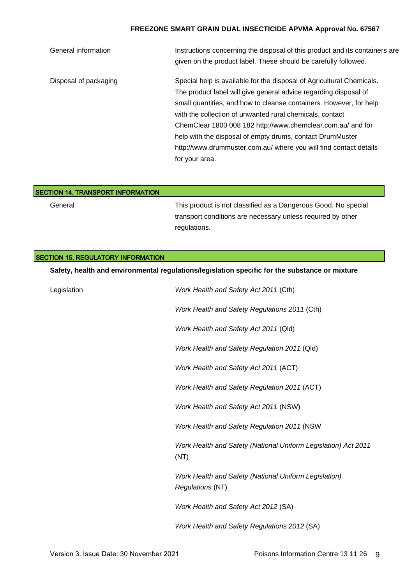| General information   | Instructions concerning the disposal of this product and its containers are |
|-----------------------|-----------------------------------------------------------------------------|
|                       | given on the product label. These should be carefully followed.             |
| Disposal of packaging | Special help is available for the disposal of Agricultural Chemicals.       |
|                       | The product label will give general advice regarding disposal of            |
|                       | small quantities, and how to cleanse containers. However, for help          |
|                       | with the collection of unwanted rural chemicals, contact                    |
|                       | ChemClear 1800 008 182 http://www.chemclear.com.au/ and for                 |
|                       | help with the disposal of empty drums, contact DrumMuster                   |
|                       | http://www.drummuster.com.au/ where you will find contact details           |
|                       | for your area.                                                              |

| <b>SECTION 14. TRANSPORT INFORMATION</b> |                                                                |
|------------------------------------------|----------------------------------------------------------------|
| General                                  | This product is not classified as a Dangerous Good. No special |
|                                          | transport conditions are necessary unless required by other    |
|                                          | regulations.                                                   |

| <b>SECTION 15. REGULATORY INFORMATION</b> |                                                                                                |  |
|-------------------------------------------|------------------------------------------------------------------------------------------------|--|
|                                           | Safety, health and environmental regulations/legislation specific for the substance or mixture |  |
| Legislation                               | Work Health and Safety Act 2011 (Cth)                                                          |  |
|                                           | Work Health and Safety Regulations 2011 (Cth)                                                  |  |
|                                           | Work Health and Safety Act 2011 (Qld)                                                          |  |
|                                           | Work Health and Safety Regulation 2011 (Qld)                                                   |  |
|                                           | Work Health and Safety Act 2011 (ACT)                                                          |  |
|                                           | Work Health and Safety Regulation 2011 (ACT)                                                   |  |
|                                           | Work Health and Safety Act 2011 (NSW)                                                          |  |
|                                           | Work Health and Safety Regulation 2011 (NSW                                                    |  |
|                                           | Work Health and Safety (National Uniform Legislation) Act 2011<br>(NT)                         |  |
|                                           | Work Health and Safety (National Uniform Legislation)<br><b>Regulations (NT)</b>               |  |
|                                           | Work Health and Safety Act 2012 (SA)                                                           |  |
|                                           | Work Health and Safety Regulations 2012 (SA)                                                   |  |